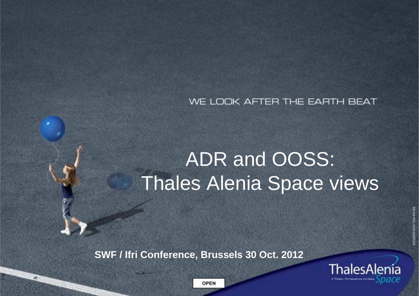#### WE LOOK AFTER THE EARTH BEAT

# ADR and OOSS:Thales Alenia Space views

**SWF / Ifri Conference, Brussels 30 Oct. 2012**



83230910-DOC-TAS-EN-001

3230910-DOC-TAS-EN-00

OPEN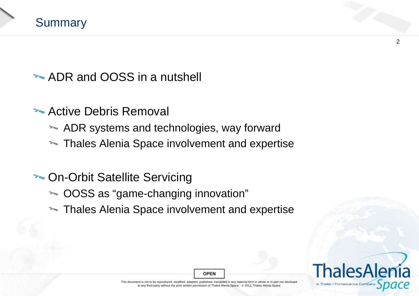

## **ADR and OOSS in a nutshell**

### **Active Debris Removal**

- ADR systems and technologies, way forward
- **Thales Alenia Space involvement and expertise**

# **The On-Orbit Satellite Servicing**

- OOSS as "game-changing innovation"
- **Thales Alenia Space involvement and expertise**



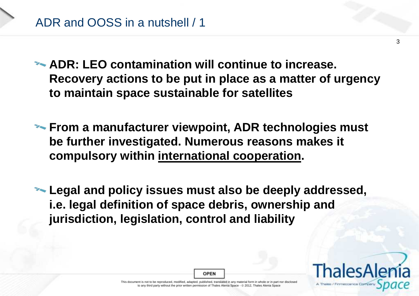**ADR: LEO contamination will continue to increase. Recovery actions to be put in place as a matter of urgency to maintain space sustainable for satellites**

**From a manufacturer viewpoint, ADR technologies must be further investigated. Numerous reasons makes it compulsory within international cooperation.**

**Legal and policy issues must also be deeply addressed, i.e. legal definition of space debris, ownership and jurisdiction, legislation, control and liability**

**OPEN** 

This document is not to be reproduced, modified, adapted, published, translated in any material form in whole or in part nor disclosed to any third party without the prior written permission of Thales Alenia Space - © 2012, Thales Alenia Space<br>.



A Thales / Finmescanica I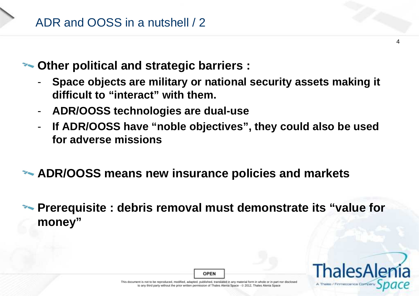

**Other political and strategic barriers :** 

- - **Space objects are military or national security assets making it difficult to "interact" with them.**
- **ADR/OOSS technologies are dual-use**
- - **If ADR/OOSS have "noble objectives", they could also be used for adverse missions**
- **ADR/OOSS means new insurance policies and markets**
- **Prerequisite : debris removal must demonstrate its "value for money"**



4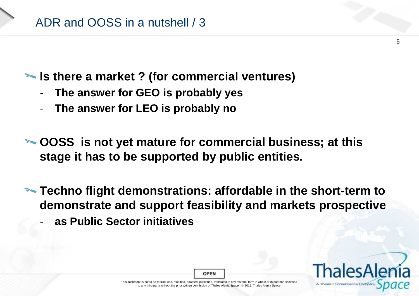

#### **Is there a market ? (for commercial ventures)**

- -**The answer for GEO is probably yes**
- -**The answer for LEO is probably no**

 $\sim$  **OOSS** is not yet mature for commercial business; at this **stage it has to be supported by public entities.**

- **Techno flight demonstrations: affordable in the short-term to demonstrate and support feasibility and markets prospective**
	- **as Public Sector initiatives**

A Theles / Finmeccanics

This document is not to be reproduced, modified, adapted, published, translated in any material form in whole or in part nor disclosed to any third party without the prior written permission of Thales Alenia Space - © 2012, Thales Alenia Space<br>.

**OPEN**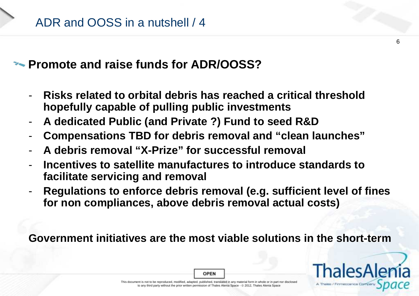#### **Promote and raise funds for ADR/OOSS?**

- - **Risks related to orbital debris has reached a critical thresholdhopefully capable of pulling public investments**
- **A dedicated Public (and Private ?) Fund to seed R&D**-
- **Compensations TBD for debris removal and "clean launches"**-
- **A debris removal "X-Prize" for successful removal**
- - **Incentives to satellite manufactures to introduce standards to facilitate servicing and removal**
- **Regulations to enforce debris removal (e.g. sufficient level of fines for non compliances, above debris removal actual costs)**

**Government initiatives are the most viable solutions in the short-term**



 $\epsilon$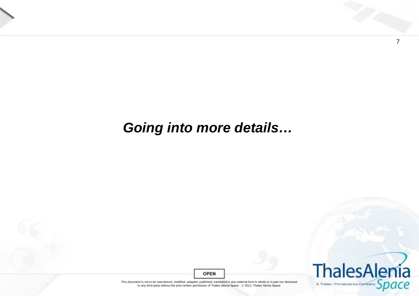

# **Going into more details…**



7

**OPEN**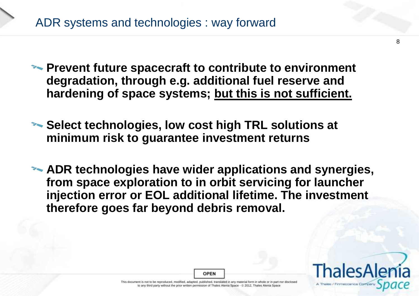# ADR systems and technologies : way forward

- **Prevent future spacecraft to contribute to environment degradation, through e.g. additional fuel reserve and hardening of space systems; but this is not sufficient.**
- **EXA: Select technologies, low cost high TRL solutions at minimum risk to guarantee investment returns**
- **ADR technologies have wider applications and synergies, from space exploration to in orbit servicing for launcher injection error or EOL additional lifetime. The investment therefore goes far beyond debris removal.**



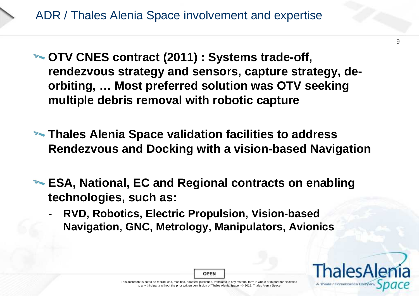**OTV CNES contract (2011) : Systems trade-off, rendezvous strategy and sensors, capture strategy, deorbiting, … Most preferred solution was OTV seeking multiple debris removal with robotic capture**

**EXALURER THALES Alenia Space validation facilities to address Rendezvous and Docking with a vision-based Navigation**

**ESA, National, EC and Regional contracts on enabling technologies, such as:**

 **RVD, Robotics, Electric Propulsion, Vision-based Navigation, GNC, Metrology, Manipulators, Avionics**

**OPEN** 

9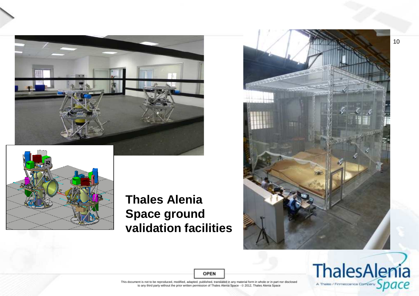



#### **Thales Alenia Space ground validation facilities**





**OPEN**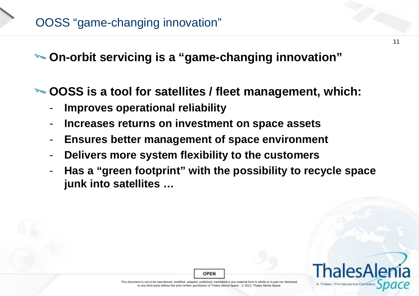**On-orbit servicing is a "game-changing innovation"**

**OOSS is a tool for satellites / fleet management, which:**

- **Improves operational reliability**
- -**Increases returns on investment on space assets**
- -**Ensures better management of space environment**
- -**Delivers more system flexibility to the customers**
- **Has a "green footprint" with the possibility to recycle space junk into satellites …**



11

**OPEN**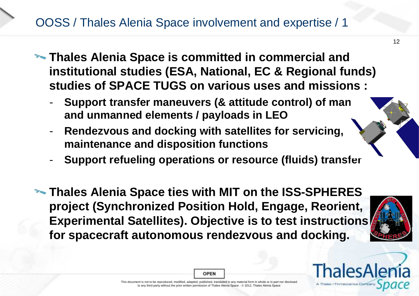# OOSS / Thales Alenia Space involvement and expertise / 1

- **Thales Alenia Space is committed in commercial and institutional studies (ESA, National, EC & Regional funds) studies of SPACE TUGS on various uses and missions :**
	- -- Support transfer maneuvers (& attitude control) of man **and unmanned elements / payloads in LEO**
	- **Rendezvous and docking with satellites for servicing, maintenance and disposition functions**
	- -**Support refueling operations or resource (fluids) transfer**
- **EXAGRIFY THALES Alenia Space ties with MIT on the ISS-SPHERES project (Synchronized Position Hold, Engage, Reorient, Experimental Satellites). Objective is to test instructions for spacecraft autonomous rendezvous and docking.**





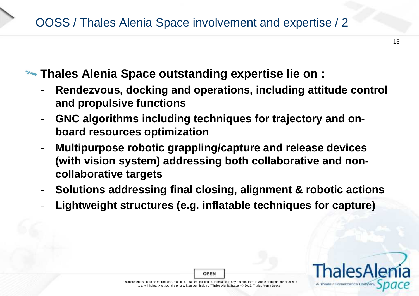# OOSS / Thales Alenia Space involvement and expertise / 2

### **EXALURE:** Thales Alenia Space outstanding expertise lie on :

- - **Rendezvous, docking and operations, including attitude control and propulsive functions**
- - **GNC algorithms including techniques for trajectory and onboard resources optimization**
- **Multipurpose robotic grappling/capture and release devices**  -**(with vision system) addressing both collaborative and noncollaborative targets**
- -**Solutions addressing final closing, alignment & robotic actions**
- **Lightweight structures (e.g. inflatable techniques for capture)**

**OPEN** 

13